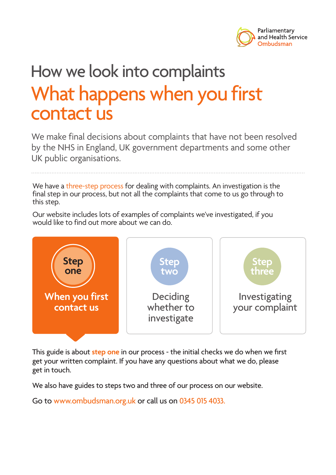

# How we look into complaints What happens when you first contact us

We make final decisions about complaints that have not been resolved by the NHS in England, UK government departments and some other UK public organisations.

We have a three-step process for dealing with complaints. An investigation is the final step in our process, but not all the complaints that come to us go through to this step.

Our website includes lots of examples of complaints we've investigated, if you would like to find out more about we can do.



This guide is about **step one** in our process - the initial checks we do when we first get your written complaint. If you have any questions about what we do, please get in touch.

We also have guides to steps two and three of our process on our website.

Go to www.ombudsman.org.uk or call us on 0345 015 4033.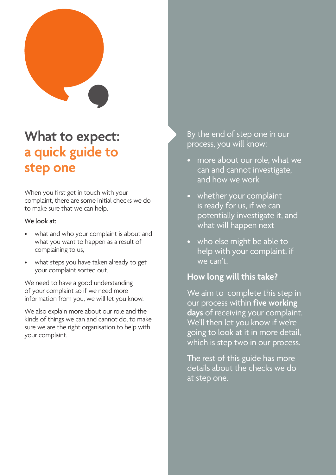

# **What to expect: a quick guide to step one**

When you first get in touch with your complaint, there are some initial checks we do to make sure that we can help.

### We look at:

- what and who your complaint is about and what you want to happen as a result of complaining to us,
- what steps you have taken already to get your complaint sorted out.

We need to have a good understanding of your complaint so if we need more information from you, we will let you know.

We also explain more about our role and the kinds of things we can and cannot do, to make sure we are the right organisation to help with your complaint.

By the end of step one in our process, you will know:

- more about our role, what we can and cannot investigate, and how we work
- whether your complaint is ready for us, if we can potentially investigate it, and what will happen next
- who else might be able to help with your complaint, if we can't.

### **How long will this take?**

We aim to complete this step in our process within **five working days** of receiving your complaint. We'll then let you know if we're going to look at it in more detail, which is step two in our process.

The rest of this guide has more details about the checks we do at step one.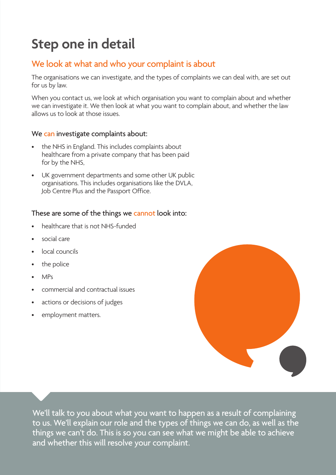# **Step one in detail**

### We look at what and who your complaint is about

The organisations we can investigate, and the types of complaints we can deal with, are set out for us by law.

When you contact us, we look at which organisation you want to complain about and whether we can investigate it. We then look at what you want to complain about, and whether the law allows us to look at those issues.

### We can investigate complaints about:

- the NHS in England. This includes complaints about healthcare from a private company that has been paid for by the NHS,
- UK government departments and some other UK public organisations. This includes organisations like the DVLA, Job Centre Plus and the Passport Office.

### These are some of the things we cannot look into:

- healthcare that is not NHS-funded
- social care
- local councils
- the police
- MPs
- commercial and contractual issues
- actions or decisions of judges
- employment matters.



We'll talk to you about what you want to happen as a result of complaining to us. We'll explain our role and the types of things we can do, as well as the things we can't do. This is so you can see what we might be able to achieve and whether this will resolve your complaint.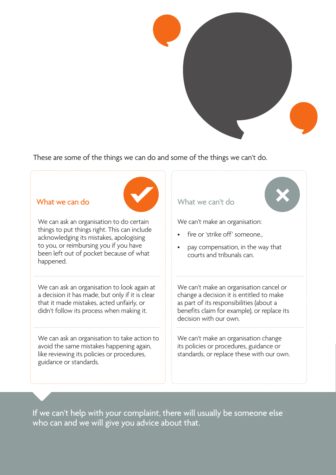

### These are some of the things we can do and some of the things we can't do.



We can ask an organisation to do certain things to put things right. This can include acknowledging its mistakes, apologising to you, or reimbursing you if you have been left out of pocket because of what happened.

We can ask an organisation to look again at a decision it has made, but only if it is clear that it made mistakes, acted unfairly, or didn't follow its process when making it.

We can ask an organisation to take action to avoid the same mistakes happening again, like reviewing its policies or procedures, guidance or standards.

### What we can do What we can't do

We can't make an organisation:

- fire or 'strike off' someone.,
- pay compensation, in the way that courts and tribunals can.

We can't make an organisation cancel or change a decision it is entitled to make as part of its responsibilities (about a benefits claim for example), or replace its decision with our own.

We can't make an organisation change its policies or procedures, guidance or standards, or replace these with our own.

If we can't help with your complaint, there will usually be someone else who can and we will give you advice about that.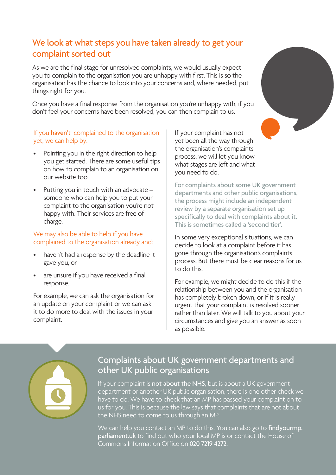### We look at what steps you have taken already to get your complaint sorted out

As we are the final stage for unresolved complaints, we would usually expect you to complain to the organisation you are unhappy with first. This is so the organisation has the chance to look into your concerns and, where needed, put things right for you.

Once you have a final response from the organisation you're unhappy with, if you don't feel your concerns have been resolved, you can then complain to us.

### If you haven't complained to the organisation yet, we can help by:

- Pointing you in the right direction to help you get started. There are some useful tips on how to complain to an organisation on our website too.
- Putting you in touch with an advocate someone who can help you to put your complaint to the organisation you're not happy with. Their services are free of charge.

### We may also be able to help if you have complained to the organisation already and:

- haven't had a response by the deadline it gave you, or
- are unsure if you have received a final response.

For example, we can ask the organisation for an update on your complaint or we can ask it to do more to deal with the issues in your complaint.

If your complaint has not yet been all the way through the organisation's complaints process, we will let you know what stages are left and what you need to do.

For complaints about some UK government departments and other public organisations, the process might include an independent review by a separate organisation set up specifically to deal with complaints about it. This is sometimes called a 'second tier'.

In some very exceptional situations, we can decide to look at a complaint before it has gone through the organisation's complaints process. But there must be clear reasons for us to do this.

For example, we might decide to do this if the relationship between you and the organisation has completely broken down, or if it is really urgent that your complaint is resolved sooner rather than later. We will talk to you about your circumstances and give you an answer as soon as possible.



### Complaints about UK government departments and other UK public organisations

If your complaint is not about the NHS, but is about a UK government department or another UK public organisation, there is one other check we have to do. We have to check that an MP has passed your complaint on to us for you. This is because the law says that complaints that are not about the NHS need to come to us through an MP.

We can help you contact an MP to do this. You can also go to findyourmp. parliament.uk to find out who your local MP is or contact the House of Commons Information Office on 020 7219 4272.